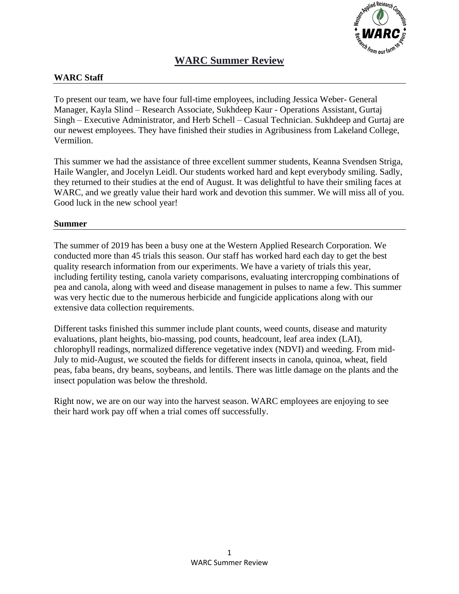

# **WARC Summer Review**

#### **WARC Staff**

To present our team, we have four full-time employees, including Jessica Weber- General Manager, Kayla Slind – Research Associate, Sukhdeep Kaur - Operations Assistant, Gurtaj Singh – Executive Administrator, and Herb Schell – Casual Technician. Sukhdeep and Gurtaj are our newest employees. They have finished their studies in Agribusiness from Lakeland College, Vermilion.

This summer we had the assistance of three excellent summer students, Keanna Svendsen Striga, Haile Wangler, and Jocelyn Leidl. Our students worked hard and kept everybody smiling. Sadly, they returned to their studies at the end of August. It was delightful to have their smiling faces at WARC, and we greatly value their hard work and devotion this summer. We will miss all of you. Good luck in the new school year!

#### **Summer**

The summer of 2019 has been a busy one at the Western Applied Research Corporation. We conducted more than 45 trials this season. Our staff has worked hard each day to get the best quality research information from our experiments. We have a variety of trials this year, including fertility testing, canola variety comparisons, evaluating intercropping combinations of pea and canola, along with weed and disease management in pulses to name a few. This summer was very hectic due to the numerous herbicide and fungicide applications along with our extensive data collection requirements.

Different tasks finished this summer include plant counts, weed counts, disease and maturity evaluations, plant heights, bio-massing, pod counts, headcount, leaf area index (LAI), chlorophyll readings, normalized difference vegetative index (NDVI) and weeding. From mid-July to mid-August, we scouted the fields for different insects in canola, quinoa, wheat, field peas, faba beans, dry beans, soybeans, and lentils. There was little damage on the plants and the insect population was below the threshold.

Right now, we are on our way into the harvest season. WARC employees are enjoying to see their hard work pay off when a trial comes off successfully.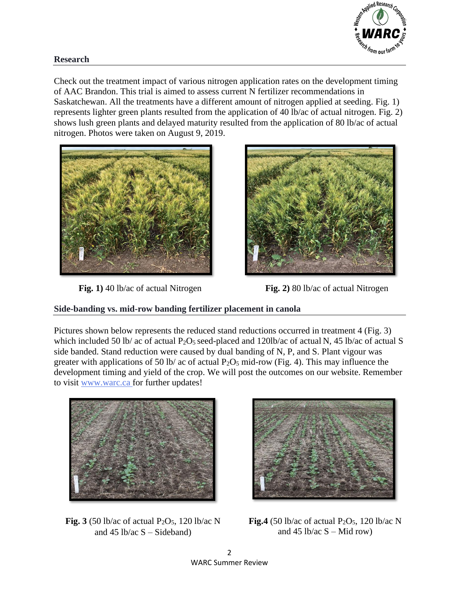

#### **Research**

Check out the treatment impact of various nitrogen application rates on the development timing of AAC Brandon. This trial is aimed to assess current N fertilizer recommendations in Saskatchewan. All the treatments have a different amount of nitrogen applied at seeding. Fig. 1) represents lighter green plants resulted from the application of 40 lb/ac of actual nitrogen. Fig. 2) shows lush green plants and delayed maturity resulted from the application of 80 lb/ac of actual nitrogen. Photos were taken on August 9, 2019.







#### **Side-banding vs. mid-row banding fertilizer placement in canola**

Pictures shown below represents the reduced stand reductions occurred in treatment 4 (Fig. 3) which included 50 lb/ ac of actual P<sub>2</sub>O<sub>5</sub> seed-placed and 120lb/ac of actual N, 45 lb/ac of actual S side banded. Stand reduction were caused by dual banding of N, P, and S. Plant vigour was greater with applications of 50 lb/ ac of actual  $P_2O_5$  mid-row (Fig. 4). This may influence the development timing and yield of the crop. We will post the outcomes on our website. Remember to visit [www.warc.ca](http://www.warc.ca/) for further updates!







**Fig.4** (50 lb/ac of actual  $P_2O_5$ , 120 lb/ac N and 45 lb/ac  $S - Mid row$ )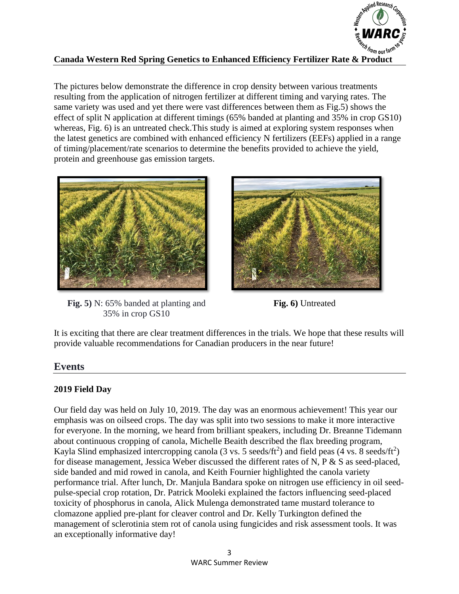

## **Canada Western Red Spring Genetics to Enhanced Efficiency Fertilizer Rate & Product**

The pictures below demonstrate the difference in crop density between various treatments resulting from the application of nitrogen fertilizer at different timing and varying rates. The same variety was used and yet there were vast differences between them as Fig.5) shows the effect of split N application at different timings (65% banded at planting and 35% in crop GS10) whereas, Fig. 6) is an untreated check. This study is aimed at exploring system responses when the latest genetics are combined with enhanced efficiency N fertilizers (EEFs) applied in a range of timing/placement/rate scenarios to determine the benefits provided to achieve the yield, protein and greenhouse gas emission targets.



**Fig. 5)** N: 65% banded at planting and **Fig. 6)** Untreated 35% in crop GS10



It is exciting that there are clear treatment differences in the trials. We hope that these results will provide valuable recommendations for Canadian producers in the near future!

# **Events**

## **2019 Field Day**

Our field day was held on July 10, 2019. The day was an enormous achievement! This year our emphasis was on oilseed crops. The day was split into two sessions to make it more interactive for everyone. In the morning, we heard from brilliant speakers, including Dr. Breanne Tidemann about continuous cropping of canola, Michelle Beaith described the flax breeding program, Kayla Slind emphasized intercropping canola (3 vs. 5 seeds/ft<sup>2</sup>) and field peas (4 vs. 8 seeds/ft<sup>2</sup>) for disease management, Jessica Weber discussed the different rates of N, P & S as seed-placed, side banded and mid rowed in canola, and Keith Fournier highlighted the canola variety performance trial. After lunch, Dr. Manjula Bandara spoke on nitrogen use efficiency in oil seedpulse-special crop rotation, Dr. Patrick Mooleki explained the factors influencing seed-placed toxicity of phosphorus in canola, Alick Mulenga demonstrated tame mustard tolerance to clomazone applied pre-plant for cleaver control and Dr. Kelly Turkington defined the management of sclerotinia stem rot of canola using fungicides and risk assessment tools. It was an exceptionally informative day!